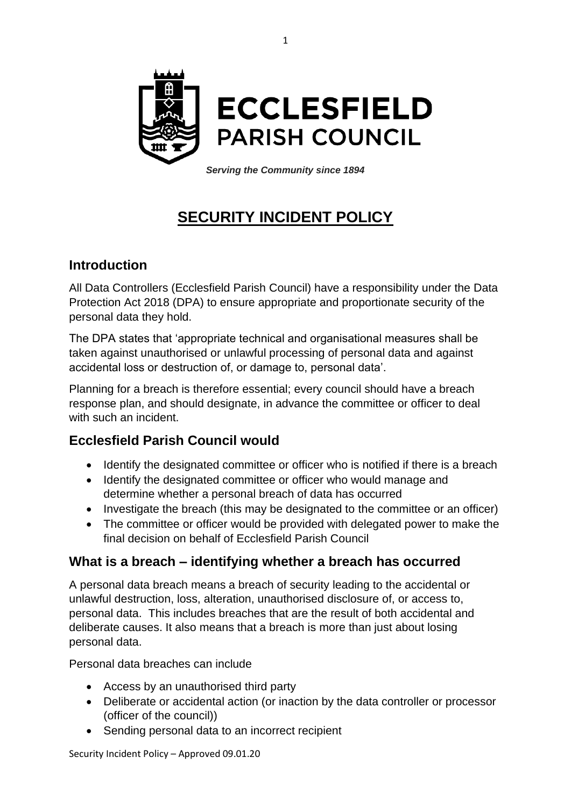

*Serving the Community since 1894*

# **SECURITY INCIDENT POLICY**

#### **Introduction**

All Data Controllers (Ecclesfield Parish Council) have a responsibility under the Data Protection Act 2018 (DPA) to ensure appropriate and proportionate security of the personal data they hold.

The DPA states that 'appropriate technical and organisational measures shall be taken against unauthorised or unlawful processing of personal data and against accidental loss or destruction of, or damage to, personal data'.

Planning for a breach is therefore essential; every council should have a breach response plan, and should designate, in advance the committee or officer to deal with such an incident.

### **Ecclesfield Parish Council would**

- Identify the designated committee or officer who is notified if there is a breach
- Identify the designated committee or officer who would manage and determine whether a personal breach of data has occurred
- Investigate the breach (this may be designated to the committee or an officer)
- The committee or officer would be provided with delegated power to make the final decision on behalf of Ecclesfield Parish Council

### **What is a breach – identifying whether a breach has occurred**

A personal data breach means a breach of security leading to the accidental or unlawful destruction, loss, alteration, unauthorised disclosure of, or access to, personal data. This includes breaches that are the result of both accidental and deliberate causes. It also means that a breach is more than just about losing personal data.

Personal data breaches can include

- Access by an unauthorised third party
- Deliberate or accidental action (or inaction by the data controller or processor (officer of the council))
- Sending personal data to an incorrect recipient

Security Incident Policy – Approved 09.01.20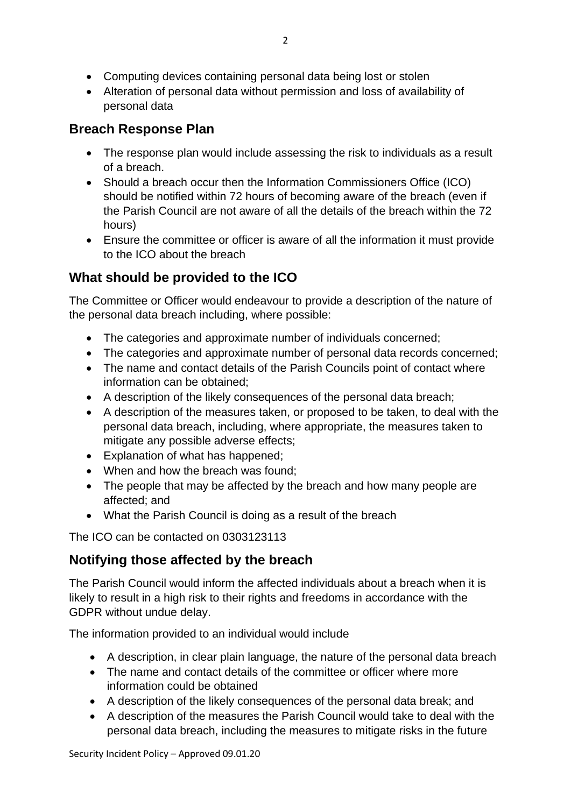- Computing devices containing personal data being lost or stolen
- Alteration of personal data without permission and loss of availability of personal data

## **Breach Response Plan**

- The response plan would include assessing the risk to individuals as a result of a breach.
- Should a breach occur then the Information Commissioners Office (ICO) should be notified within 72 hours of becoming aware of the breach (even if the Parish Council are not aware of all the details of the breach within the 72 hours)
- Ensure the committee or officer is aware of all the information it must provide to the ICO about the breach

# **What should be provided to the ICO**

The Committee or Officer would endeavour to provide a description of the nature of the personal data breach including, where possible:

- The categories and approximate number of individuals concerned;
- The categories and approximate number of personal data records concerned;
- The name and contact details of the Parish Councils point of contact where information can be obtained;
- A description of the likely consequences of the personal data breach;
- A description of the measures taken, or proposed to be taken, to deal with the personal data breach, including, where appropriate, the measures taken to mitigate any possible adverse effects;
- Explanation of what has happened;
- When and how the breach was found;
- The people that may be affected by the breach and how many people are affected; and
- What the Parish Council is doing as a result of the breach

The ICO can be contacted on 0303123113

## **Notifying those affected by the breach**

The Parish Council would inform the affected individuals about a breach when it is likely to result in a high risk to their rights and freedoms in accordance with the GDPR without undue delay.

The information provided to an individual would include

- A description, in clear plain language, the nature of the personal data breach
- The name and contact details of the committee or officer where more information could be obtained
- A description of the likely consequences of the personal data break; and
- A description of the measures the Parish Council would take to deal with the personal data breach, including the measures to mitigate risks in the future